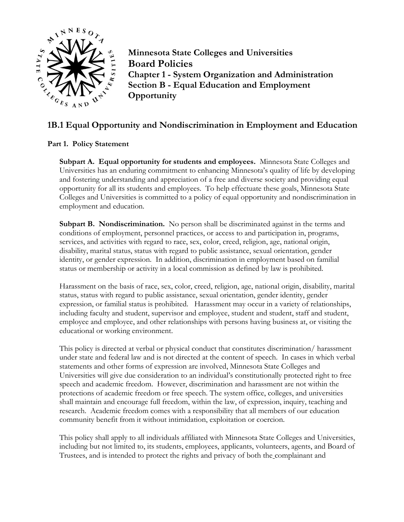

**Minnesota State Colleges and Universities Board Policies Chapter 1 - System Organization and Administration Section B - Equal Education and Employment Opportunity**

# **1B.1 Equal Opportunity and Nondiscrimination in Employment and Education**

## **Part 1. Policy Statement**

**Subpart A. Equal opportunity for students and employees.** Minnesota State Colleges and Universities has an enduring commitment to enhancing Minnesota's quality of life by developing and fostering understanding and appreciation of a free and diverse society and providing equal opportunity for all its students and employees. To help effectuate these goals, Minnesota State Colleges and Universities is committed to a policy of equal opportunity and nondiscrimination in employment and education.

**Subpart B. Nondiscrimination.** No person shall be discriminated against in the terms and conditions of employment, personnel practices, or access to and participation in, programs, services, and activities with regard to race, sex, color, creed, religion, age, national origin, disability, marital status, status with regard to public assistance, sexual orientation, gender identity, or gender expression. In addition, discrimination in employment based on familial status or membership or activity in a local commission as defined by law is prohibited.

Harassment on the basis of race, sex, color, creed, religion, age, national origin, disability, marital status, status with regard to public assistance, sexual orientation, gender identity, gender expression, or familial status is prohibited. Harassment may occur in a variety of relationships, including faculty and student, supervisor and employee, student and student, staff and student, employee and employee, and other relationships with persons having business at, or visiting the educational or working environment.

This policy is directed at verbal or physical conduct that constitutes discrimination/ harassment under state and federal law and is not directed at the content of speech. In cases in which verbal statements and other forms of expression are involved, Minnesota State Colleges and Universities will give due consideration to an individual's constitutionally protected right to free speech and academic freedom. However, discrimination and harassment are not within the protections of academic freedom or free speech. The system office, colleges, and universities shall maintain and encourage full freedom, within the law, of expression, inquiry, teaching and research. Academic freedom comes with a responsibility that all members of our education community benefit from it without intimidation, exploitation or coercion.

This policy shall apply to all individuals affiliated with Minnesota State Colleges and Universities, including but not limited to, its students, employees, applicants, volunteers, agents, and Board of Trustees, and is intended to protect the rights and privacy of both the complainant and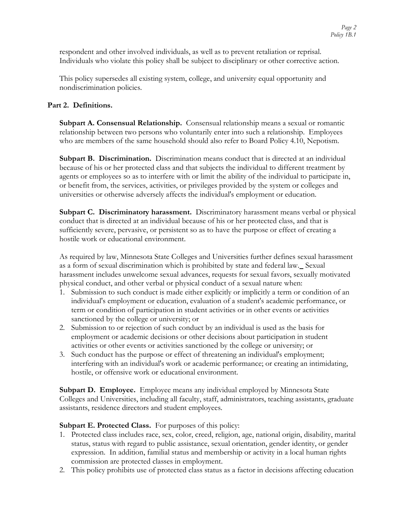respondent and other involved individuals, as well as to prevent retaliation or reprisal. Individuals who violate this policy shall be subject to disciplinary or other corrective action.

This policy supersedes all existing system, college, and university equal opportunity and nondiscrimination policies.

## **Part 2. Definitions.**

**Subpart A. Consensual Relationship.** Consensual relationship means a sexual or romantic relationship between two persons who voluntarily enter into such a relationship. Employees who are members of the same household should also refer to Board Policy 4.10, Nepotism.

**Subpart B. Discrimination.** Discrimination means conduct that is directed at an individual because of his or her protected class and that subjects the individual to different treatment by agents or employees so as to interfere with or limit the ability of the individual to participate in, or benefit from, the services, activities, or privileges provided by the system or colleges and universities or otherwise adversely affects the individual's employment or education.

**Subpart C. Discriminatory harassment.** Discriminatory harassment means verbal or physical conduct that is directed at an individual because of his or her protected class, and that is sufficiently severe, pervasive, or persistent so as to have the purpose or effect of creating a hostile work or educational environment.

As required by law, Minnesota State Colleges and Universities further defines sexual harassment as a form of sexual discrimination which is prohibited by state and federal law. Sexual harassment includes unwelcome sexual advances, requests for sexual favors, sexually motivated physical conduct, and other verbal or physical conduct of a sexual nature when:

- 1. Submission to such conduct is made either explicitly or implicitly a term or condition of an individual's employment or education, evaluation of a student's academic performance, or term or condition of participation in student activities or in other events or activities sanctioned by the college or university; or
- 2. Submission to or rejection of such conduct by an individual is used as the basis for employment or academic decisions or other decisions about participation in student activities or other events or activities sanctioned by the college or university; or
- 3. Such conduct has the purpose or effect of threatening an individual's employment; interfering with an individual's work or academic performance; or creating an intimidating, hostile, or offensive work or educational environment.

**Subpart D. Employee.** Employee means any individual employed by Minnesota State Colleges and Universities, including all faculty, staff, administrators, teaching assistants, graduate assistants, residence directors and student employees.

### **Subpart E. Protected Class.** For purposes of this policy:

- 1. Protected class includes race, sex, color, creed, religion, age, national origin, disability, marital status, status with regard to public assistance, sexual orientation, gender identity, or gender expression. In addition, familial status and membership or activity in a local human rights commission are protected classes in employment.
- 2. This policy prohibits use of protected class status as a factor in decisions affecting education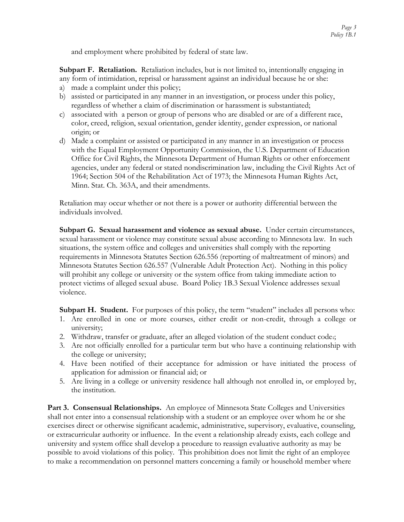and employment where prohibited by federal of state law.

**Subpart F. Retaliation.** Retaliation includes, but is not limited to, intentionally engaging in any form of intimidation, reprisal or harassment against an individual because he or she:

- a) made a complaint under this policy;
- b) assisted or participated in any manner in an investigation, or process under this policy, regardless of whether a claim of discrimination or harassment is substantiated;
- c) associated with a person or group of persons who are disabled or are of a different race, color, creed, religion, sexual orientation, gender identity, gender expression, or national origin; or
- d) Made a complaint or assisted or participated in any manner in an investigation or process with the Equal Employment Opportunity Commission, the U.S. Department of Education Office for Civil Rights, the Minnesota Department of Human Rights or other enforcement agencies, under any federal or stated nondiscrimination law, including the Civil Rights Act of 1964; Section 504 of the Rehabilitation Act of 1973; the Minnesota Human Rights Act, Minn. Stat. Ch. 363A, and their amendments.

Retaliation may occur whether or not there is a power or authority differential between the individuals involved.

**Subpart G. Sexual harassment and violence as sexual abuse.** Under certain circumstances, sexual harassment or violence may constitute sexual abuse according to Minnesota law. In such situations, the system office and colleges and universities shall comply with the reporting requirements in Minnesota Statutes Section 626.556 (reporting of maltreatment of minors) and Minnesota Statutes Section 626.557 (Vulnerable Adult Protection Act). Nothing in this policy will prohibit any college or university or the system office from taking immediate action to protect victims of alleged sexual abuse. Board Policy 1B.3 Sexual Violence addresses sexual violence.

**Subpart H. Student.** For purposes of this policy, the term "student" includes all persons who:

- 1. Are enrolled in one or more courses, either credit or non-credit, through a college or university;
- 2. Withdraw, transfer or graduate, after an alleged violation of the student conduct code.;
- 3. Are not officially enrolled for a particular term but who have a continuing relationship with the college or university;
- 4. Have been notified of their acceptance for admission or have initiated the process of application for admission or financial aid; or
- 5. Are living in a college or university residence hall although not enrolled in, or employed by, the institution.

**Part 3. Consensual Relationships.** An employee of Minnesota State Colleges and Universities shall not enter into a consensual relationship with a student or an employee over whom he or she exercises direct or otherwise significant academic, administrative, supervisory, evaluative, counseling, or extracurricular authority or influence. In the event a relationship already exists, each college and university and system office shall develop a procedure to reassign evaluative authority as may be possible to avoid violations of this policy. This prohibition does not limit the right of an employee to make a recommendation on personnel matters concerning a family or household member where